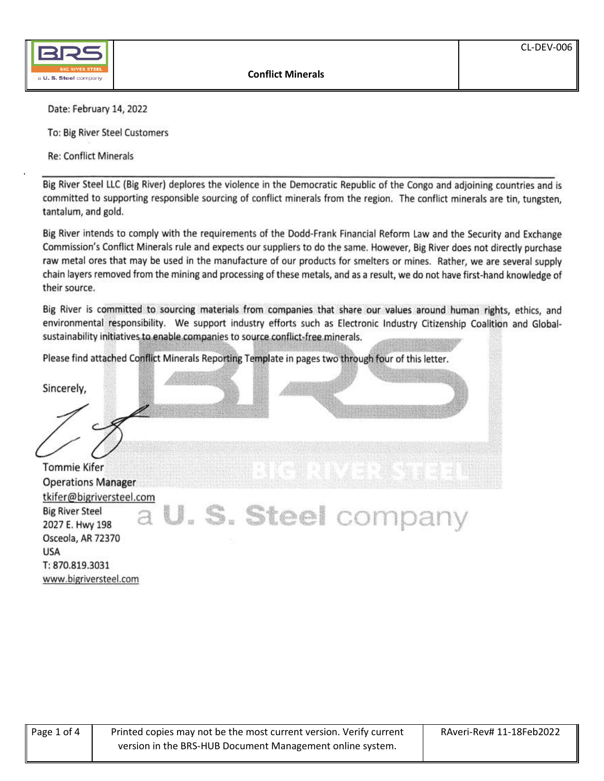

Date: February 14, 2022

To: Big River Steel Customers

Re: Conflict Minerals

Big River Steel LLC (Big River) deplores the violence in the Democratic Republic of the Congo and adjoining countries and is committed to supporting responsible sourcing of conflict minerals from the region. The conflict minerals are tin, tungsten, tantalum, and gold.

Big River intends to comply with the requirements of the Dodd-Frank Financial Reform Law and the Security and Exchange Commission's Conflict Minerals rule and expects our suppliers to do the same. However, Big River does not directly purchase raw metal ores that may be used in the manufacture of our products for smelters or mines. Rather, we are several supply chain layers removed from the mining and processing of these metals, and as a result, we do not have first-hand knowledge of their source.

Big River is committed to sourcing materials from companies that share our values around human rights, ethics, and environmental responsibility. We support industry efforts such as Electronic Industry Citizenship Coalition and Globalsustainability initiatives to enable companies to source conflict-free minerals.

Please find attached Conflict Minerals Reporting Template in pages two through four of this letter.

Sincerely,  $\leq$ **Tomme Kiref** Operations Manager tkifer@bigriversteel.com a U. S. Steel company **Big River Steel** 2027 E. Hwy 198<br>Osceola, AR 72370 USA USA T: 870.819.3031 www.bigriversteel.com

| Page 1 of 4 | Printed copies may not be the most current version. Verify current | RAveri-Rev# 11-18Feb2022 |
|-------------|--------------------------------------------------------------------|--------------------------|
|             | version in the BRS-HUB Document Management online system.          |                          |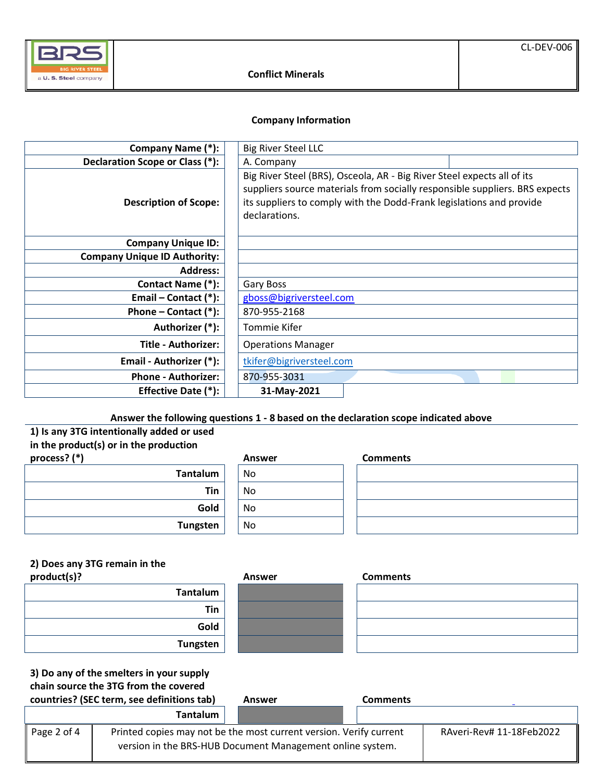

### **Company Information**

| Company Name (*):                   | <b>Big River Steel LLC</b>                                                                                                                                                                                                                      |  |
|-------------------------------------|-------------------------------------------------------------------------------------------------------------------------------------------------------------------------------------------------------------------------------------------------|--|
| Declaration Scope or Class (*):     | A. Company                                                                                                                                                                                                                                      |  |
| <b>Description of Scope:</b>        | Big River Steel (BRS), Osceola, AR - Big River Steel expects all of its<br>suppliers source materials from socially responsible suppliers. BRS expects<br>its suppliers to comply with the Dodd-Frank legislations and provide<br>declarations. |  |
| <b>Company Unique ID:</b>           |                                                                                                                                                                                                                                                 |  |
| <b>Company Unique ID Authority:</b> |                                                                                                                                                                                                                                                 |  |
| <b>Address:</b>                     |                                                                                                                                                                                                                                                 |  |
| <b>Contact Name (*):</b>            | Gary Boss                                                                                                                                                                                                                                       |  |
| Email – Contact $(*)$ :             | gboss@bigriversteel.com                                                                                                                                                                                                                         |  |
| Phone – Contact $(*)$ :             | 870-955-2168                                                                                                                                                                                                                                    |  |
| Authorizer (*):                     | Tommie Kifer                                                                                                                                                                                                                                    |  |
| <b>Title - Authorizer:</b>          | <b>Operations Manager</b>                                                                                                                                                                                                                       |  |
| Email - Authorizer (*):             | tkifer@bigriversteel.com                                                                                                                                                                                                                        |  |
| <b>Phone - Authorizer:</b>          | 870-955-3031                                                                                                                                                                                                                                    |  |
| Effective Date (*):                 | 31-May-2021                                                                                                                                                                                                                                     |  |

# **Answer the following questions 1 - 8 based on the declaration scope indicated above**

# **1) Is any 3TG intentionally added or used in the product(s) or in the production process? (\*) Answer**

| <b>Tantalum</b> |  |
|-----------------|--|
| Tin             |  |
| Gold            |  |
| <b>Tungsten</b> |  |

# **Tantalum** No **Tin** No **Gold** No **Tungsten** No

| <b>Comments</b> |  |  |
|-----------------|--|--|
|                 |  |  |
|                 |  |  |
|                 |  |  |
|                 |  |  |

# **2) Does any 3TG remain in the**

**product(s)? Answer** 

| Tantalum        |
|-----------------|
| Tin             |
| Gold            |
| <b>Tungsten</b> |



| <b>Comments</b> |  |  |
|-----------------|--|--|
|                 |  |  |
|                 |  |  |
|                 |  |  |
|                 |  |  |

**3) Do any of the smelters in your supply chain source the 3TG from the covered** 

|             | countries? (SEC term, see definitions tab)                                                                                      | Answer | <b>Comments</b> |                          |
|-------------|---------------------------------------------------------------------------------------------------------------------------------|--------|-----------------|--------------------------|
|             | <b>Tantalum</b>                                                                                                                 |        |                 |                          |
| Page 2 of 4 | Printed copies may not be the most current version. Verify current<br>version in the BRS-HUB Document Management online system. |        |                 | RAveri-Rev# 11-18Feb2022 |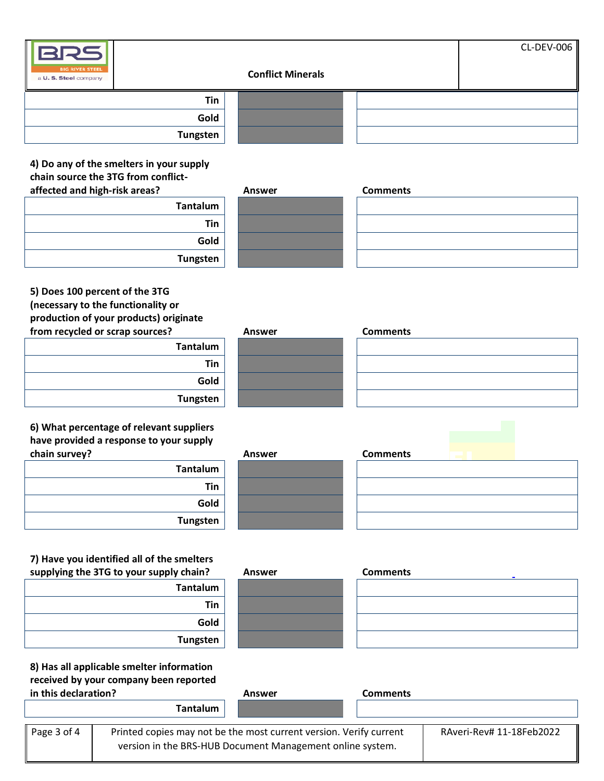| <b>BIG RIVER STEEL</b><br>a U.S. Steel company |            | <b>Conflict Minerals</b> | CL-DEV-006 |
|------------------------------------------------|------------|--------------------------|------------|
|                                                | <b>Tin</b> |                          |            |
|                                                | Gold       |                          |            |
|                                                | Tungsten   |                          |            |

# **4) Do any of the smelters in your supply chain source the 3TG from conflictaffected and high-risk areas?**

| Tantalum        |
|-----------------|
| Tin             |
| Gold            |
| <b>Tungsten</b> |

| <b>Answer</b> |  |
|---------------|--|
|               |  |
|               |  |
|               |  |
|               |  |
|               |  |
|               |  |
|               |  |

| <b>Comments</b> |  |  |
|-----------------|--|--|
|                 |  |  |
|                 |  |  |
|                 |  |  |
|                 |  |  |

# **5) Does 100 percent of the 3TG (necessary to the functionality or production of your products) originate from recycled or scrap sources?**

| .<br>.<br>.<br>. |
|------------------|
| <b>Tantalum</b>  |
| Tin              |
| Gold             |
| <b>Tungsten</b>  |

**6) What percentage of relevant suppliers have provided a response to your supply**  chain survey?

| <b>Tantalum</b> |
|-----------------|
| Tin             |
| Gold            |
| <b>Tungsten</b> |

| Answer |
|--------|
|        |
|        |
|        |
|        |
|        |
|        |
|        |

| <b>Comments</b> |  |  |  |
|-----------------|--|--|--|
|                 |  |  |  |
|                 |  |  |  |
|                 |  |  |  |
|                 |  |  |  |

| <b>Answer</b> |  |
|---------------|--|
|               |  |
|               |  |
|               |  |
|               |  |

| <b>Comments</b> |  |
|-----------------|--|
|                 |  |
|                 |  |
|                 |  |
|                 |  |

# **7) Have you identified all of the smelters**  supplying the 3TG to your supply chain? Answer

| <b>Tantalum</b> |
|-----------------|
| Tin             |
| Gold            |
| <b>Tungsten</b> |

**8) Has all applicable smelter information received by your company been reported in this declaration? Answer Comments**



| <b>Comments</b> |  |  |
|-----------------|--|--|
|                 |  |  |
|                 |  |  |
|                 |  |  |
|                 |  |  |

|             | <b>Tantalum</b>                                                    |                          |
|-------------|--------------------------------------------------------------------|--------------------------|
| Page 3 of 4 | Printed copies may not be the most current version. Verify current | RAveri-Rev# 11-18Feb2022 |
|             | version in the BRS-HUB Document Management online system.          |                          |